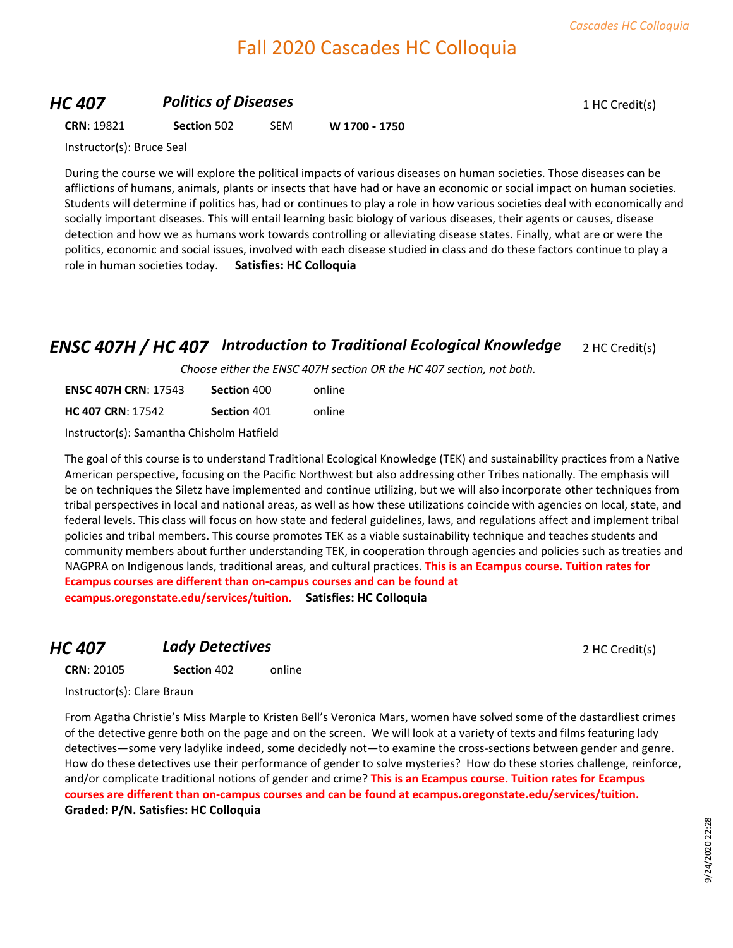# Fall 2020 Cascades HC Colloquia

#### *HC 407* **Politics of Diseases 1 HC Credit(s)**

**CRN**: 19821 **Section** 502 SEM **W 1700 - 1750**

Instructor(s): Bruce Seal

During the course we will explore the political impacts of various diseases on human societies. Those diseases can be afflictions of humans, animals, plants or insects that have had or have an economic or social impact on human societies. Students will determine if politics has, had or continues to play a role in how various societies deal with economically and socially important diseases. This will entail learning basic biology of various diseases, their agents or causes, disease detection and how we as humans work towards controlling or alleviating disease states. Finally, what are or were the politics, economic and social issues, involved with each disease studied in class and do these factors continue to play a role in human societies today. **Satisfies: HC Colloquia**

### *ENSC 407H / HC 407 Introduction to Traditional Ecological Knowledge* 2 HC Credit(s)

*Choose either the ENSC 407H section OR the HC 407 section, not both.*

| <b>ENSC 407H CRN: 17543</b> | Section 400 | online |
|-----------------------------|-------------|--------|
| <b>HC 407 CRN: 17542</b>    | Section 401 | online |

Instructor(s): Samantha Chisholm Hatfield

The goal of this course is to understand Traditional Ecological Knowledge (TEK) and sustainability practices from a Native American perspective, focusing on the Pacific Northwest but also addressing other Tribes nationally. The emphasis will be on techniques the Siletz have implemented and continue utilizing, but we will also incorporate other techniques from tribal perspectives in local and national areas, as well as how these utilizations coincide with agencies on local, state, and federal levels. This class will focus on how state and federal guidelines, laws, and regulations affect and implement tribal policies and tribal members. This course promotes TEK as a viable sustainability technique and teaches students and community members about further understanding TEK, in cooperation through agencies and policies such as treaties and NAGPRA on Indigenous lands, traditional areas, and cultural practices. **This is an Ecampus course. Tuition rates for Ecampus courses are different than on-campus courses and can be found at ecampus.oregonstate.edu/services/tuition. Satisfies: HC Colloquia**

### **HC 407 Lady Detectives 2 HC Credit(s)**

**CRN**: 20105 **Section** 402 online

Instructor(s): Clare Braun

From Agatha Christie's Miss Marple to Kristen Bell's Veronica Mars, women have solved some of the dastardliest crimes of the detective genre both on the page and on the screen. We will look at a variety of texts and films featuring lady detectives—some very ladylike indeed, some decidedly not—to examine the cross-sections between gender and genre. How do these detectives use their performance of gender to solve mysteries? How do these stories challenge, reinforce, and/or complicate traditional notions of gender and crime? **This is an Ecampus course. Tuition rates for Ecampus courses are different than on-campus courses and can be found at ecampus.oregonstate.edu/services/tuition. Graded: P/N. Satisfies: HC Colloquia**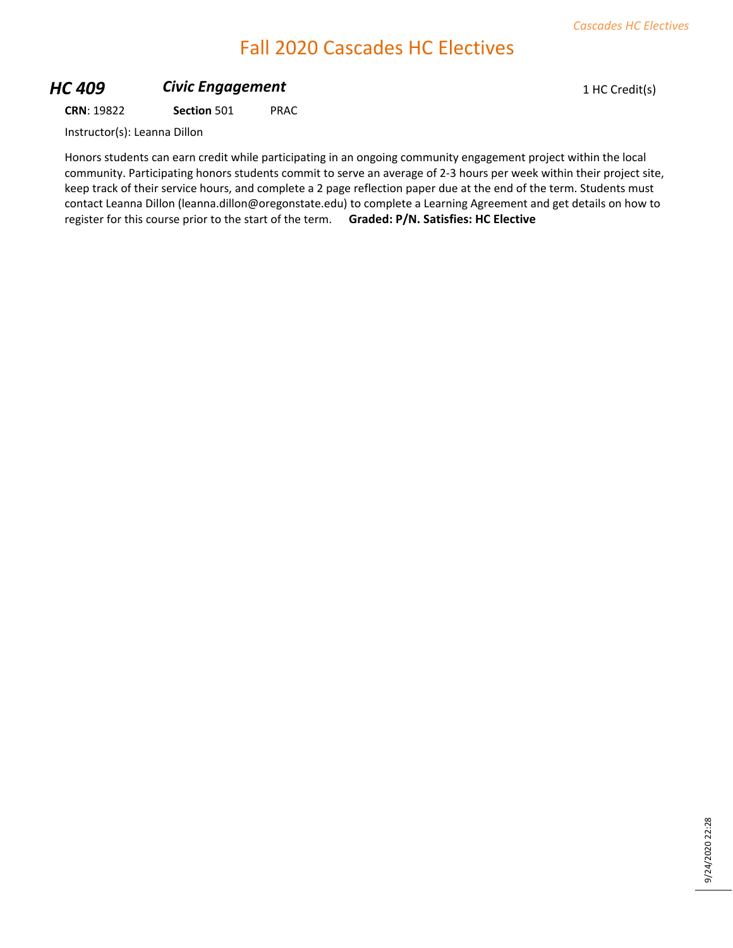# Fall 2020 Cascades HC Electives

## **HC 409 Civic Engagement Civic Engagement** 1 HC Credit(s)

**CRN**: 19822 **Section** 501 PRAC

Instructor(s): Leanna Dillon

Honors students can earn credit while participating in an ongoing community engagement project within the local community. Participating honors students commit to serve an average of 2-3 hours per week within their project site, keep track of their service hours, and complete a 2 page reflection paper due at the end of the term. Students must contact Leanna Dillon (leanna.dillon@oregonstate.edu) to complete a Learning Agreement and get details on how to register for this course prior to the start of the term. **Graded: P/N. Satisfies: HC Elective**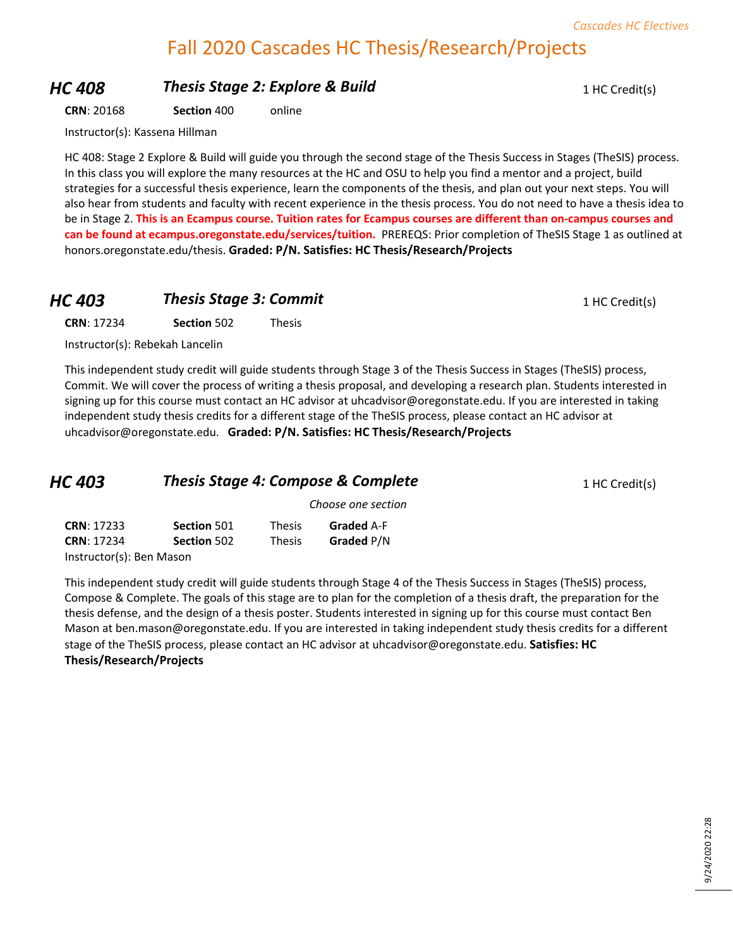## Fall 2020 Cascades HC Thesis/Research/Projects

## **HC 408 Thesis Stage 2: Explore & Build** 1 HC Credit(s)

**CRN**: 20168 **Section** 400 online

Instructor(s): Kassena Hillman

HC 408: Stage 2 Explore & Build will guide you through the second stage of the Thesis Success in Stages (TheSIS) process. In this class you will explore the many resources at the HC and OSU to help you find a mentor and a project, build strategies for a successful thesis experience, learn the components of the thesis, and plan out your next steps. You will also hear from students and faculty with recent experience in the thesis process. You do not need to have a thesis idea to be in Stage 2. **This is an Ecampus course. Tuition rates for Ecampus courses are different than on-campus courses and can be found at ecampus.oregonstate.edu/services/tuition.** PREREQS: Prior completion of TheSIS Stage 1 as outlined at honors.oregonstate.edu/thesis. **Graded: P/N. Satisfies: HC Thesis/Research/Projects**

#### **HC 403 Thesis Stage 3: Commit** 1 HC Credit(s)

**CRN**: 17234 **Section** 502 Thesis

Instructor(s): Rebekah Lancelin

This independent study credit will guide students through Stage 3 of the Thesis Success in Stages (TheSIS) process, Commit. We will cover the process of writing a thesis proposal, and developing a research plan. Students interested in signing up for this course must contact an HC advisor at uhcadvisor@oregonstate.edu. If you are interested in taking independent study thesis credits for a different stage of the TheSIS process, please contact an HC advisor at uhcadvisor@oregonstate.edu. **Graded: P/N. Satisfies: HC Thesis/Research/Projects**

| HC 403 | <b>Thesis Stage 4: Compose &amp; Complete</b> | 1 HC Credit(s) |
|--------|-----------------------------------------------|----------------|
|        | Choose one section                            |                |

| <b>CRN: 17233</b>        | Section 501 | <b>Thesis</b> | <b>Graded A-F</b> |
|--------------------------|-------------|---------------|-------------------|
| <b>CRN: 17234</b>        | Section 502 | <b>Thesis</b> | Graded P/N        |
| Instructor(s): Ben Mason |             |               |                   |

This independent study credit will guide students through Stage 4 of the Thesis Success in Stages (TheSIS) process, Compose & Complete. The goals of this stage are to plan for the completion of a thesis draft, the preparation for the thesis defense, and the design of a thesis poster. Students interested in signing up for this course must contact Ben Mason at ben.mason@oregonstate.edu. If you are interested in taking independent study thesis credits for a different stage of the TheSIS process, please contact an HC advisor at uhcadvisor@oregonstate.edu. **Satisfies: HC Thesis/Research/Projects**